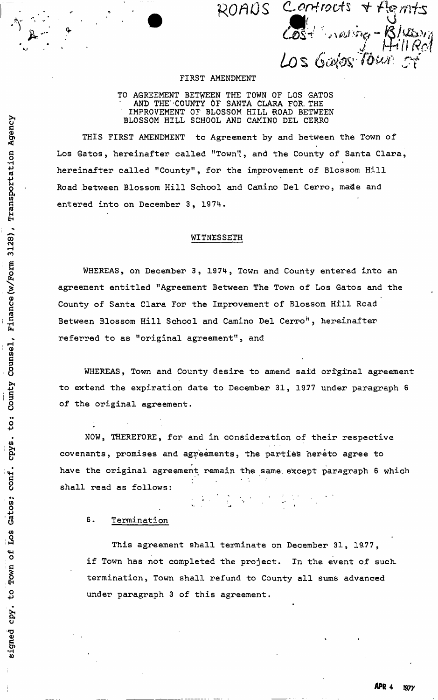**ROflO S fV/rrt s**  neving-Blussy Los Gales Tour

### FIRST AMENDMENT

TO AGREEMENT BETWEEN THE TOWN OF LOS GATOS AND THE' COUNTY OF SANTA CLARA FOR. THE ' IMPROVEMENT OF BLOSSOM HILL 'ROAD BETWEEN BLOSSOM HILL SCHOOL AND CAMINO DEL CERRO

THIS FIRST AMENDMENT to Agreement by and between the Town of Los Gatos, hereinafter called "Town'!, and the County of Santa Clara, ۰. hereinafter called "County", for the improvement of Blossom Hill Road .between Blossom Hill School and Camino Del Cerro, made and entered into on December 3, 1974.

## WITNESSETH

WHEREAS, on December 3, 1974, Town and County entered into an agreement entitled "Agreement Between The Town of Los Gatos and the County of Santa Clara For the Improvement of Blossom Hill Road Between Blossom Hill School and Camino Del Cerro", hereinafter referred to as "original agreement", and

WHEREAS, Town and County desire to amend said original agreement to extend the expiration date to December 31, 1977 under paragraph 6 of the original agreement.

NOW, THEREFORE, for and in consideration of their respective covenants, promises and agreements, the parties hereto agree to have the original agreement remain the same, except paragraph 6 which shall read as follows:

 $\frac{1}{2}$  ,  $\frac{1}{2}$  ,  $\frac{1}{2}$ 

6. Termination

This agreement shall terminate on December 31, 19.77, if Town has not completed the project. In the event of such termination, Town shall refund to County all sums advanced under paragraph 3 of this agreement.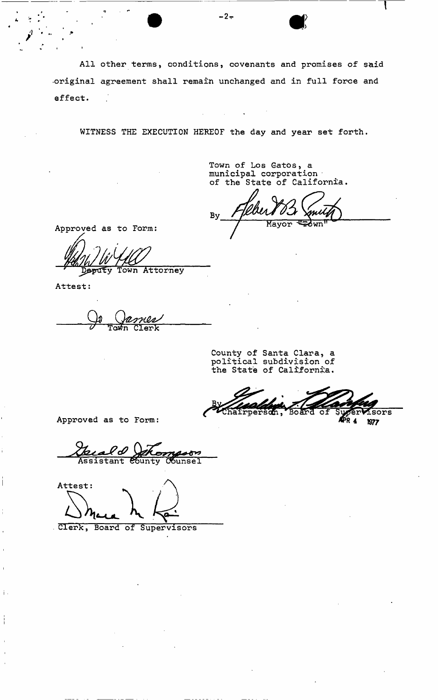All other terms, conditions, covenants and promises of said •original agreement shall remain unchanged and in full force and effect. 

 $-2 -$ 

WITNESS THE EXECUTION HEREOF the day and year set forth.

Town of Los Gatos, a municipal corporation of the State of California.

By ∓∂ਯਸ Mayor

Approved as to Form:

eputy Town Attorney

Attest:

Ť

 $\mathbf i$  .

**Ca**  $Clerk$ 

County of Santa Clara, a political subdivision of the State of California.

Chairperson, sors 1977

Approved as to Form:

ታ Assistant County Counsel

Attest:

Clerk, Board of Supervisors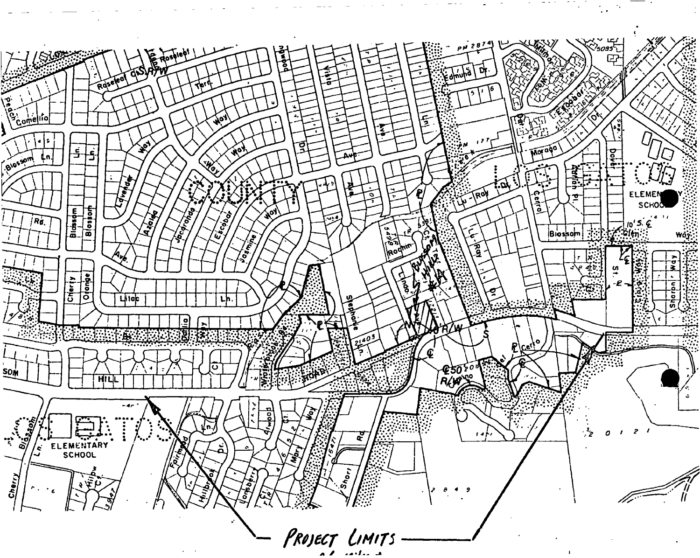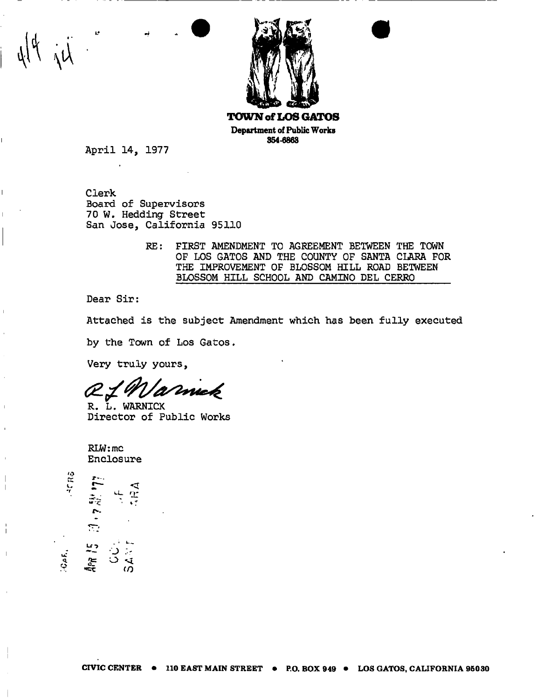

Department of Public Works 354-6863

April 14, 1977

Clerk Board of Supervisors 70 W. Hedding Street San Jose, California 95110

> RE: FIRST AMENDMENT TO AGREEMENT BETWEEN THE TOWN OF LOS GATOS AND THE COUNTY OF SANTA CLARA FOR THE IMPROVEMENT OF BLOSSOM HILL ROAD BETWEEN BLOSSOM HILL SCHOOL AND CAMINO DEL CERRO

Dear Sir:

Attached is the subject Amendment which has been fully executed

by the Town of Los Gatos.

Very truly yours,

R. L. WARNICK

Director of Public Works

RLW:mc Enclosure



 $\overline{\phantom{a}}$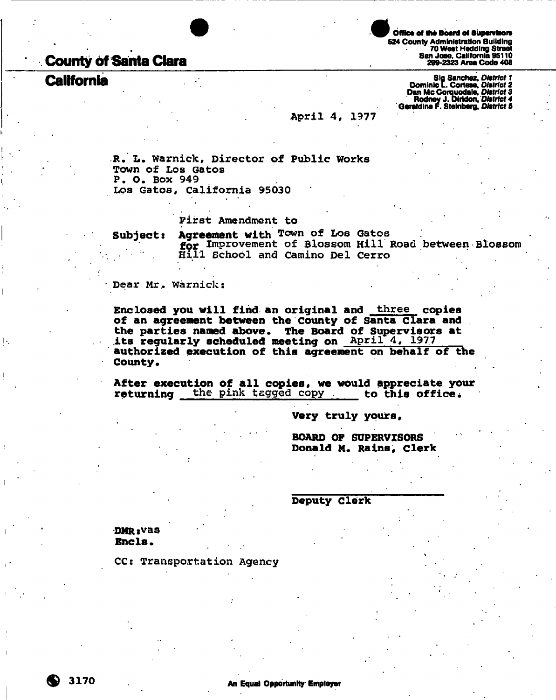# **County 6f Santa Clara**

# **California**

Office of the Board of Supervisors 524 County Administration Building 70 West Hedding Street San Jose. California 95110 299-2323 Area Code 408

Slg Sanchez, *District 1*  Dominic [. Cortese, *District 2*  Dan Me Corquodale, *District* 3 Rodney J. Dirtdon. *District 4*  Qeraldlne F. Steinberg. *District* 5

### April 4, 1977

R. L. Warnick, Director of Public Works Town of Los Gatos P. O. Box 949 Los Gatos, California 95030

First Amendment to

**Subjects Agreement with** Town of Los Gatos **for** Improvement of Blossom Hill Road between Blossom Hill School and Camino Del Cerro

Dear Mr. Warnick:

**Enclosed you will find an original and** three **copies of an agreement between the County of Santa Clara and the parties named above. The Board of Supervisors at its regularly scheduled meeting on** April 4, 1977 **authorized execution of this agreement on behalf of the County.** 

After execution of all copies, we would appreciate your **returning** the pink tagged copy **to this office.** 

**Very truly yours,** 

**BOARD OF SUPERVISORS Donald M. Rains, Clerk** 

**Deputy Clerk** 

**DMRsvas Encls•** 

CC: Transportation Agency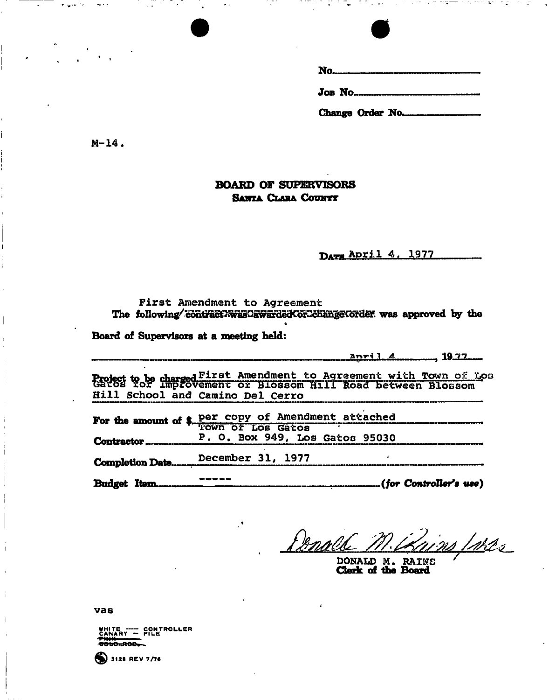| ٧<br>۹<br>and the control of |  |
|------------------------------|--|
|------------------------------|--|

 **ob No...........** 

Change Order No.........

M-14.

# **BOARD OF SUPERVISORS SANTA CLARA COUNTY**

Darm April 4, 1977

First Amendment to Agreement The following/contractXwasOawardedCorCchangeCorder was approved by the

« **Board of Supervisors at a meeting held:** 

|                                                                                                         |                                                     | <u>anril 4 1977 und </u> |  |  |
|---------------------------------------------------------------------------------------------------------|-----------------------------------------------------|--------------------------|--|--|
| Project to be charged First Amendment to Agreement with Town of Los<br>Hill School and Camino Del Cerro |                                                     |                          |  |  |
|                                                                                                         | For the amount of \$ per copy of Amendment attached |                          |  |  |
|                                                                                                         | P. O. Box 949, Los Gatos 95030                      |                          |  |  |
|                                                                                                         | Completion DateDecember 31, 1977                    |                          |  |  |
|                                                                                                         |                                                     |                          |  |  |

**Budget Item , " . (***for Controller's use)* 

Denal ins Ister

DONALD M. RAINS Clerk of the Board

vas



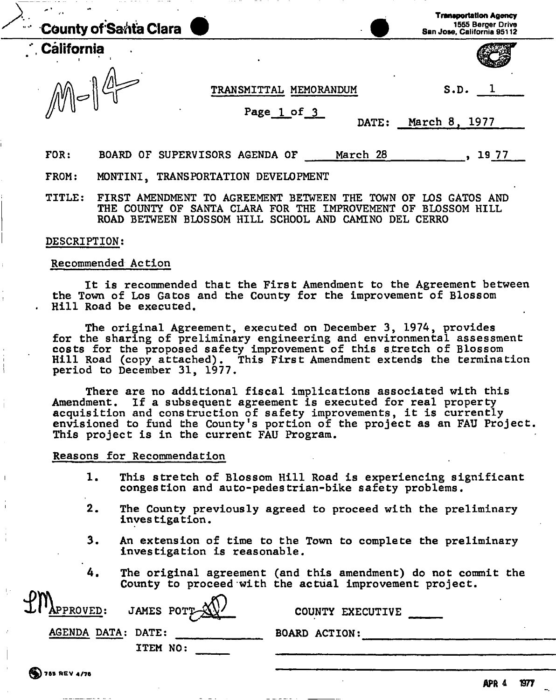| e 1<br><b>County of Santa Clara</b><br>$\mathbf{u}$ of . |                                      | <b>Transportation Agency</b><br>1555 Berger Drive<br>San Jose, California 95112 |
|----------------------------------------------------------|--------------------------------------|---------------------------------------------------------------------------------|
| <b>California</b>                                        |                                      |                                                                                 |
|                                                          | MEMORANDUM<br><b>TRANSMITTAL</b>     | S.D.                                                                            |
|                                                          | Page 1 of 3<br>DATE:                 | March 8, 1977                                                                   |
| FOR:<br><b>BOARD</b>                                     | March 28<br>OF SUPERVISORS AGENDA OF | 1977                                                                            |

FROM: MONTINI, TRANSPORTATION DEVELOPMENT

TITLE: FIRST AMENDMENT TO AGREEMENT BETWEEN THE TOWN OF LOS GATOS AND THE COUNTY OF SANTA CLARA FOR THE IMPROVEMENT OF BLOSSOM HILL ROAD BETWEEN BLOSSOM HILL SCHOOL AND CAMINO DEL CERRO

#### DESCRIPTION:

#### Recommended Action

It is recommended that the First Amendment to the Agreement between the Town of Los Gatos and the County for the improvement of Blossom Hill Road be executed.

The original Agreement, executed on December 3, 1974, provides for the sharing of preliminary engineering and environmental assessment costs for the proposed safety improvement of this stretch of Blossom Hill Road (copy attached). This First Amendment extends the termination period to December 31, 1977.

There are no additional fiscal implications associated with this Amendment. If a subsequent agreement is executed for real property acquisition and construction of safety improvements, it is currently envisioned to fund the County's portion of the project as an FAU Project This project is in the current FAU Program.

Reasons for Recommendation

- 1. This stretch of Blossom Hill Road is experiencing significant congestion and auto-pedestrian-bike safety problems.
- 2. The County previously agreed to proceed with the preliminary inves tigation.
- 3. An extension of time to the Town to complete the preliminary investigation is reasonable.
- 4. The original agreement (and this amendment) do not commit the County to proceed with the actual improvement project.

| nw,<br>$LU'$ APPROVED: JAMES POTT $\mathbb{X}$ | COUNTY EXECUTIVE     |
|------------------------------------------------|----------------------|
| AGENDA DATA: DATE:<br>ITEM NO:                 | <b>BOARD ACTION:</b> |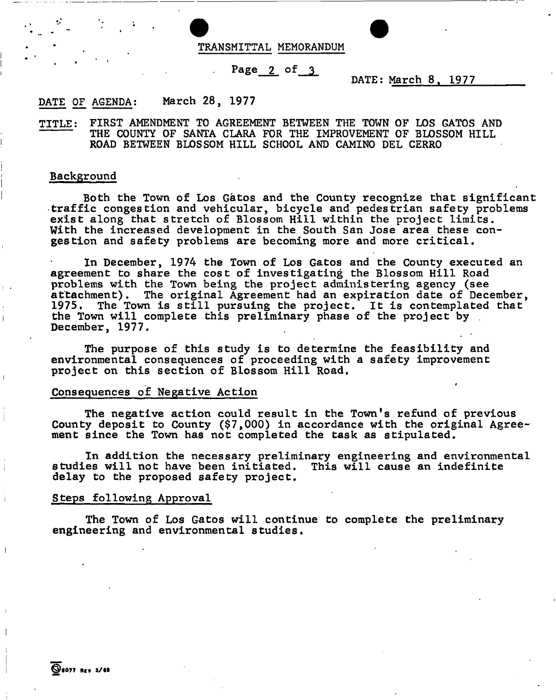

## Page 2 of 3

DATE: March 8, 1977

i

# DATE OF AGENDA: March 28, 1977

TITLE: FIRST AMENDMENT TO AGREEMENT BETWEEN THE TOWN OF LOS GATOS AND THE COUNTY OF SANTA CLARA FOR THE IMPROVEMENT OF BLOSSOM HILL ROAD BETWEEN BLOSSOM HILL SCHOOL AND CAMINO DEL CERRO

### Background

Both the Town of Los Gatos and the County recognize that significant traffic congestion and vehicular, bicycle and pedestrian safety problems exist along that stretch of Blossom Hill within the project limits. With the increased development in the South San Jose area these congestion and safety problems are becoming more and more critical.

In December, 1974 the Town of Los Gatos and the County executed an agreement to share the cost of investigating the Blossom Hill Road problems with the Town being the project administering agency (see attachment). The original Agreement had an expiration date of December, 1975. The Town is still pursuing the project. It is contemplated that the Town will complete this preliminary phase of the project by December, 1977.

The purpose of this study is to determine the feasibility and environmental consequences of proceeding with a safety improvement project on this section of Blossom Hill Road.

## Consequences of Negative Action

The negative action could result in the Town's refund of previous County deposit to County (\$7,000) in accordance with the original Agreement since the Town has not completed the task as stipulated.

In addition the necessary preliminary engineering and environmental studies will not have been initiated. This will cause an indefinite delay to the proposed safety project.

### Steps following Approval

The Town of Los Gatos will continue to complete the preliminary engineering and environmental studies.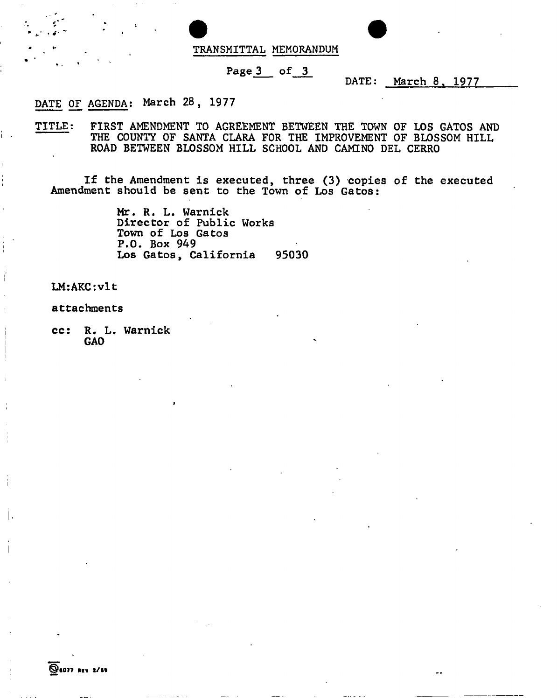

# Page 3 of 3

DATE: March 8. 1977

# DATE OF AGENDA: March 28, 1977

TITLE; FIRST AMENDMENT TO AGREEMENT BETWEEN THE TOWN OF LOS GATOS AND THE COUNTY OF SANTA CLARA FOR THE IMPROVEMENT OF BLOSSOM HILL ROAD BETWEEN BLOSSOM HILL SCHOOL AND CAMINO DEL CERRO

If the Amendment is executed, three (3) copies of the executed Amendment should be sent to the Town of Los Gatos:

> Mr. R. L. Warnick Director of Public Works Town of Los Gatos P.O. Box 949 Los Gatos, California 95030

LM:AKC:vlt

attachments

cc: R. L. Warnick GAO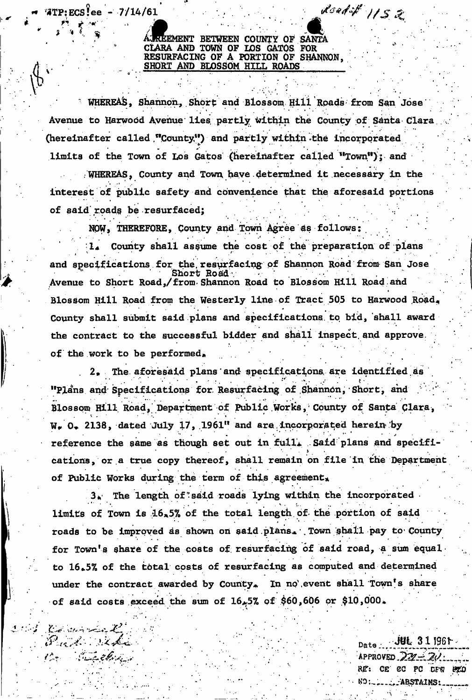**REEMENT BETWEEN COUNTY OF SANTA** \* CLARA AND TOWN OF LOS GATOS FOR RESURFACING OF A PORTION OF SHAN SHORT AND BLOSSOM HILL ROADS

 $*$ TP:ECS?ee - 7/14/61  $\mathcal{L}$ 

SHORT AND BLOSSOM HILL ROADS (SINGLE BELLEVILLE)

• WHEREA&, Shannon., Short and Biossom. Hili Roads from San Jose Avenue to Harwood Avenue lies partly within the County of Santa Clara (hereinafter called "County") and partly within the incorporated limits of the Town of Los Gatos (hereinafter called "Town"); and

. WHEREAS, County and Town, have. determined it necessary in the interest of public safety and convenience that the aforesaid portions of said'rpads be resurfaced;

NOW, THEREFORE, County and Town Agree 4s follows:

County shall as§ume the cost of the preparation of plans  $\mathbf{L}$ and specifications for the resurfacing of Shannon Road from San Jose • Short Road v Avenue to Short Road,/from-Shannon Road to Blossom Hill Road and Blossom Hill Road from the Westerly line of Tract 505 to Harwood Road. County shall submit said plans and specifications, to bid, shall award the contract to the successful bidder and shall inspect, and approve, of the work to be performed.

. 2» The. aforesaid plans and specifications are identified.as "Plans and Specifications for Resurfacing of Shannon, Short, and Blossom Hill Road, Department of Public Works, County of Santa Clara,  $W_r$  0. 2138, dated July 17, 1961" and are incorporated herein by reference the same as though set out in full. Said plans and specifications, or a true copy thereof, shall remain on file in the Department of Public Works during the term of this agreement.

3. The length of said roads lying within the incorporated limits of Town is  $16*5%$  of the total length of the portion of said roads to be improved as shown on said plans. Town shall pay to County for Town's share of the costs of resurfacing of said road, a sum equal to 16.5% of the total costs of resurfacing as computed and determined under the contract awarded by County. In no'event shall Town's share of said costs exceed the sum of  $16*5%$  of \$60,606 or \$10,000.

r v -v - - • - • •

*'iti'U-^M-.-* •• ••• oat,• *jvisiw\*-* • *'* \ APPROVED *Jt&j^&L-^J\**  RE: CET CC PC DFW ETO . ABSTAINS:

• • - > •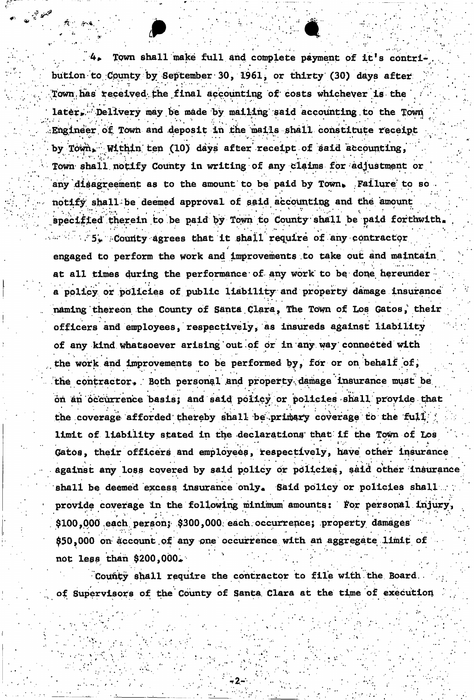Town shall make full and complete payment of it's contribution to County by September 30, 1961, or thirty (30) days after Town has received the final accounting of costs whichever is the later, 'Delivery may be made by mailing said accounting to the Town /.Engineer of. Town and deposit in the mails shall constitute receipt by Town. Within ten (10) days after receipt of said accounting,  $\omega$  shall notify County in writing of any claims for adjustment any disagreement as to the amount to be paid by Town. Failure to so  $111$ notify shall be deemed approval of said accounting and the amount specified therein to be paid by Town to County shall be paid forthwith.  $54$  . County agrees that it shall require of any contractor engaged to perform the work and improvements to take out and maintain at all times during the performance of any work to be done hereunder a policy or policies of public liability and property damage insurance naming thereon the County of Santa Clara, The Town of Los Gatos, their officers and employees, respectively, as insureds against liability of any kind whatsoever arising out of or in any way connected with the work and improvements to be performed by, for or on behalf of, the contractor. Both personal and property damage insurance must be on an occurrence basis; and said policy or policies shall provide that the coverage afforded thereby shall be primary coverage to the full limit of liability stated in the declarations that if the Town of Los Gatos, their officers and employees, respectively, have other insurance against any loss covered by said policy or policies, said other insurance shall be deemed excess insurance only. Said policy or policies shall provide coverage in the following minimum amounts: For personal injury, \$100,000 each person; \$300,000 each occurrence; property damages \$50,000 on account of any one occurrence with an aggregate limit of  $not$  less than \$200,000.

County shall require the contractor to file with the Board. of Supervisors of the County of Santa Clara at the time of execution

of Supervisors of the County of Santa Clara at the County of  $\mathcal{S}_\mathcal{A}$  at the time of execution of execution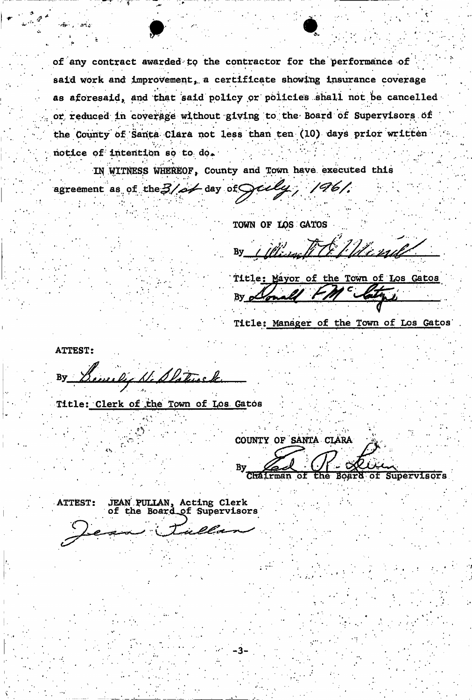of any contract awarded tp the contractor for the performance o£ said work and improvement, a certificate showing insurance coverage as aforesaid, and that said policy or policies shall not be cancelled or reduced in coverage without giving to the Board of Supervisors of the County of Santa Clara not less than ten (10) days prior written notice of intention so to do.

IN WITNESS WHEREOF, County and Town have executed this

agreement as of the  $3/4$  day of  $\mathcal{G}$   $\mathcal{G}$ ,  $\mathcal{G}$ 

TOWN OF LOS GATOS

Winter The Minute **By** 

Title; Mayor of the Town of Los Gatos By clonald

Title: Manager of the Town of Los Gatos

**ATTEST:** weekey He Slater  $By$ 

Title: Clerk of the Town of Los Gatos

COUNTY OF SANTA CLARA

 $\overline{\text{of}}$ of Supervisors the

ATTEST: JEAN PULLAN, Acting Clerk of the Board of Supervisors